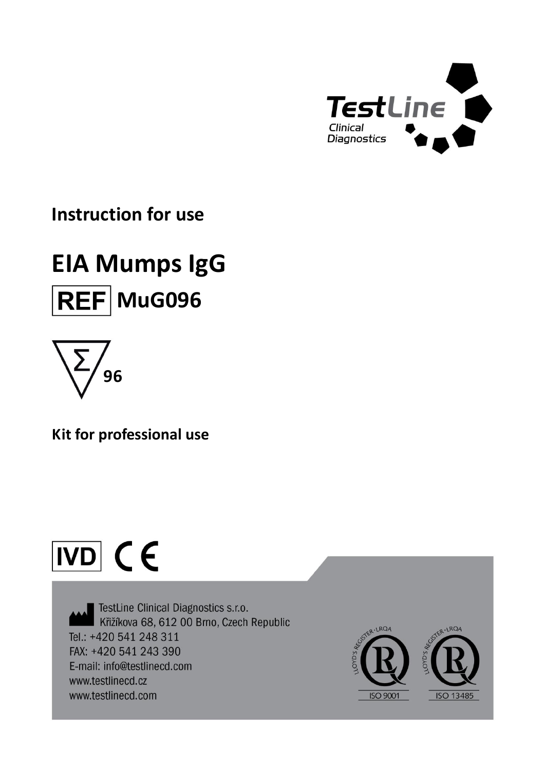

# **Instruction for use**

# **EIA Mumps IgG REF** MuG096



**Kit for professional use**

# $\overline{ND}$  (E

TestLine Clinical Diagnostics s.r.o. Křižíkova 68, 612 00 Brno, Czech Republic Tel.: +420 541 248 311 FAX: +420 541 243 390 E-mail: info@testlinecd.com www.testlinecd.cz www.testlinecd.com

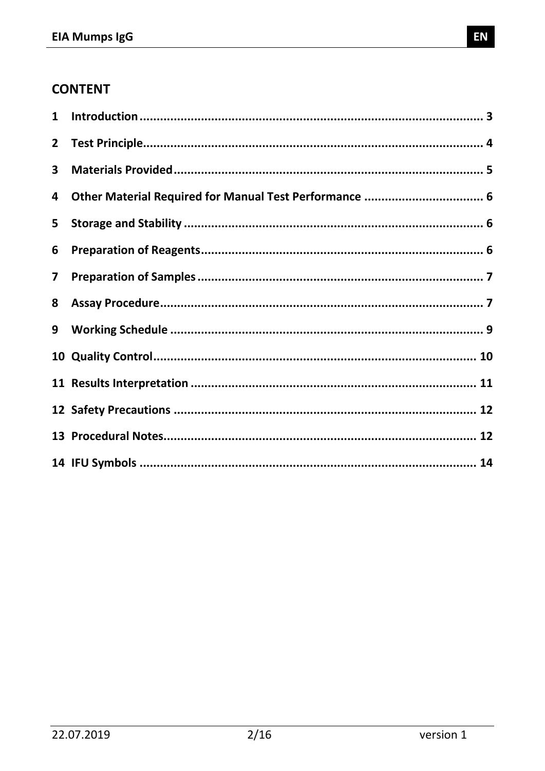# **CONTENT**

| $\mathbf{1}$            |  |
|-------------------------|--|
| $\mathbf{2}$            |  |
| 3                       |  |
| 4                       |  |
| 5                       |  |
| 6                       |  |
| $\overline{\mathbf{z}}$ |  |
| 8                       |  |
| 9                       |  |
|                         |  |
|                         |  |
|                         |  |
|                         |  |
|                         |  |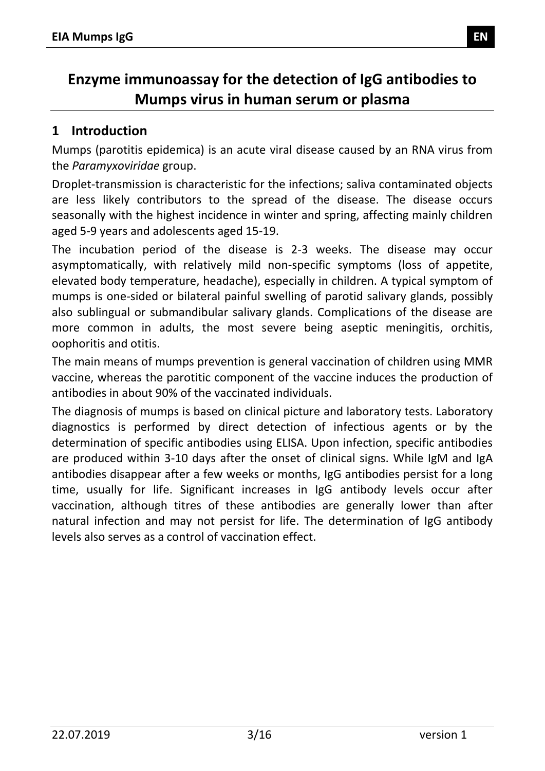# **Enzyme immunoassay for the detection of IgG antibodies to Mumps virus in human serum or plasma**

#### <span id="page-2-0"></span>**1 Introduction**

Mumps (parotitis epidemica) is an acute viral disease caused by an RNA virus from the *Paramyxoviridae* group.

Droplet-transmission is characteristic for the infections; saliva contaminated objects are less likely contributors to the spread of the disease. The disease occurs seasonally with the highest incidence in winter and spring, affecting mainly children aged 5-9 years and adolescents aged 15-19.

The incubation period of the disease is 2-3 weeks. The disease may occur asymptomatically, with relatively mild non-specific symptoms (loss of appetite, elevated body temperature, headache), especially in children. A typical symptom of mumps is one-sided or bilateral painful swelling of parotid salivary glands, possibly also sublingual or submandibular salivary glands. Complications of the disease are more common in adults, the most severe being aseptic meningitis, orchitis, oophoritis and otitis.

The main means of mumps prevention is general vaccination of children using MMR vaccine, whereas the parotitic component of the vaccine induces the production of antibodies in about 90% of the vaccinated individuals.

The diagnosis of mumps is based on clinical picture and laboratory tests. Laboratory diagnostics is performed by direct detection of infectious agents or by the determination of specific antibodies using ELISA. Upon infection, specific antibodies are produced within 3-10 days after the onset of clinical signs. While IgM and IgA antibodies disappear after a few weeks or months, IgG antibodies persist for a long time, usually for life. Significant increases in IgG antibody levels occur after vaccination, although titres of these antibodies are generally lower than after natural infection and may not persist for life. The determination of IgG antibody levels also serves as a control of vaccination effect.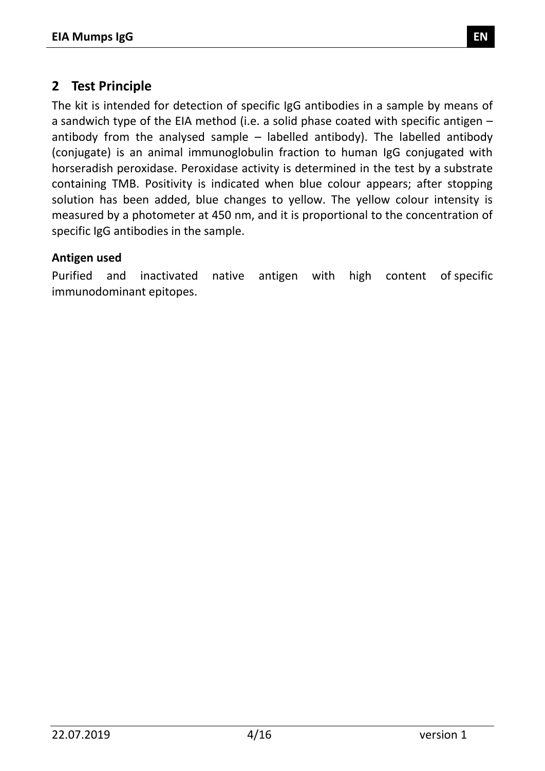#### <span id="page-3-0"></span>**2 Test Principle**

The kit is intended for detection of specific IgG antibodies in a sample by means of a sandwich type of the EIA method (i.e. a solid phase coated with specific antigen – antibody from the analysed sample – labelled antibody). The labelled antibody (conjugate) is an animal immunoglobulin fraction to human IgG conjugated with horseradish peroxidase. Peroxidase activity is determined in the test by a substrate containing TMB. Positivity is indicated when blue colour appears; after stopping solution has been added, blue changes to yellow. The yellow colour intensity is measured by a photometer at 450 nm, and it is proportional to the concentration of specific IgG antibodies in the sample.

#### **Antigen used**

Purified and inactivated native antigen with high content of specific immunodominant epitopes.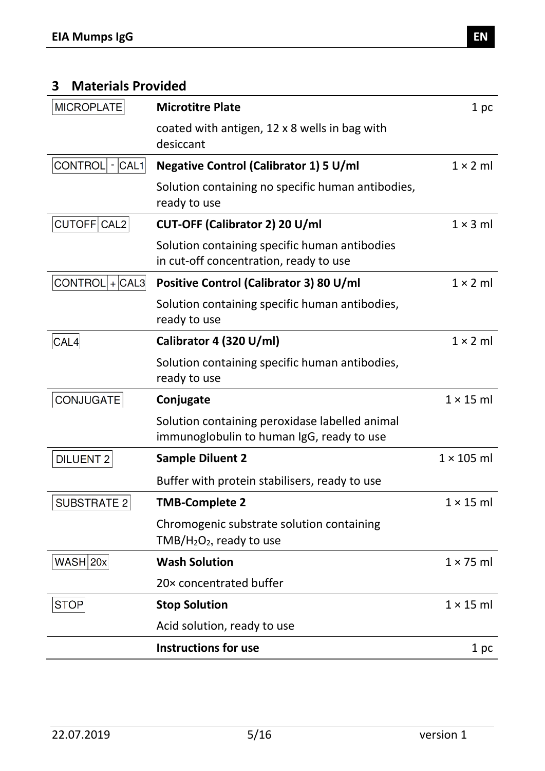# <span id="page-4-0"></span>**3 Materials Provided**

| <b>MICROPLATE</b>     | <b>Microtitre Plate</b>                                                                       | 1 pc              |
|-----------------------|-----------------------------------------------------------------------------------------------|-------------------|
|                       | coated with antigen, 12 x 8 wells in bag with<br>desiccant                                    |                   |
| CONTROL<br>$- CAL1 $  | <b>Negative Control (Calibrator 1) 5 U/ml</b>                                                 | $1 \times 2$ ml   |
|                       | Solution containing no specific human antibodies,<br>ready to use                             |                   |
| CUTOFF CAL2           | CUT-OFF (Calibrator 2) 20 U/ml                                                                | $1 \times 3$ ml   |
|                       | Solution containing specific human antibodies<br>in cut-off concentration, ready to use       |                   |
| $CONTROL   +   CAL3 $ | Positive Control (Calibrator 3) 80 U/ml                                                       | $1 \times 2$ ml   |
|                       | Solution containing specific human antibodies,<br>ready to use                                |                   |
| CAL4                  | Calibrator 4 (320 U/ml)                                                                       | $1 \times 2$ ml   |
|                       | Solution containing specific human antibodies,<br>ready to use                                |                   |
| <b>CONJUGATE</b>      | Conjugate                                                                                     | $1 \times 15$ ml  |
|                       | Solution containing peroxidase labelled animal<br>immunoglobulin to human IgG, ready to use   |                   |
| <b>DILUENT 2</b>      | <b>Sample Diluent 2</b>                                                                       | $1 \times 105$ ml |
|                       | Buffer with protein stabilisers, ready to use                                                 |                   |
| <b>SUBSTRATE 2</b>    | <b>TMB-Complete 2</b>                                                                         | $1 \times 15$ ml  |
|                       | Chromogenic substrate solution containing<br>TMB/H <sub>2</sub> O <sub>2</sub> , ready to use |                   |
| $WASH$ 20x            | <b>Wash Solution</b>                                                                          | $1 \times 75$ ml  |
|                       | 20x concentrated buffer                                                                       |                   |
| <b>STOP</b>           | <b>Stop Solution</b>                                                                          | $1 \times 15$ ml  |
|                       | Acid solution, ready to use                                                                   |                   |
|                       | <b>Instructions for use</b>                                                                   | 1 pc              |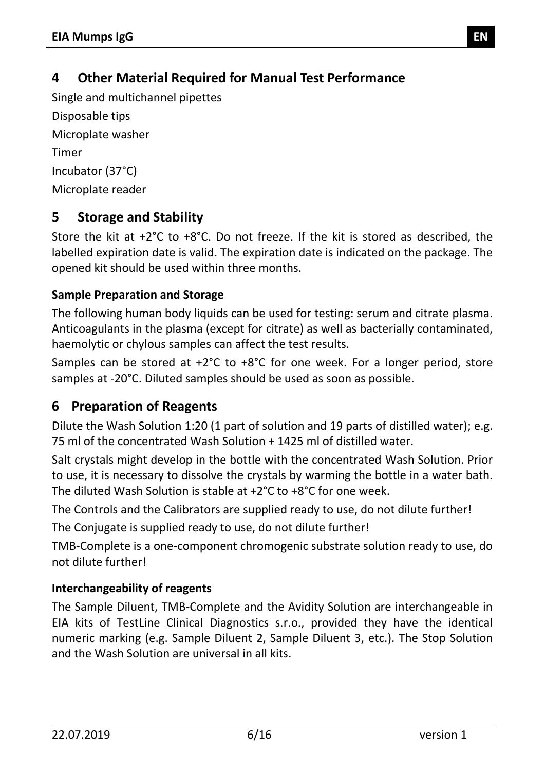# <span id="page-5-0"></span>**4 Other Material Required for Manual Test Performance**

Single and multichannel pipettes Disposable tips Microplate washer Timer Incubator (37°C) Microplate reader

# <span id="page-5-1"></span>**5 Storage and Stability**

Store the kit at +2°C to +8°C. Do not freeze. If the kit is stored as described, the labelled expiration date is valid. The expiration date is indicated on the package. The opened kit should be used within three months.

#### **Sample Preparation and Storage**

The following human body liquids can be used for testing: serum and citrate plasma. Anticoagulants in the plasma (except for citrate) as well as bacterially contaminated, haemolytic or chylous samples can affect the test results.

Samples can be stored at +2°C to +8°C for one week. For a longer period, store samples at -20°C. Diluted samples should be used as soon as possible.

# <span id="page-5-2"></span>**6 Preparation of Reagents**

Dilute the Wash Solution 1:20 (1 part of solution and 19 parts of distilled water); e.g. 75 ml of the concentrated Wash Solution + 1425 ml of distilled water.

Salt crystals might develop in the bottle with the concentrated Wash Solution. Prior to use, it is necessary to dissolve the crystals by warming the bottle in a water bath. The diluted Wash Solution is stable at +2°C to +8°C for one week.

The Controls and the Calibrators are supplied ready to use, do not dilute further!

The Conjugate is supplied ready to use, do not dilute further!

TMB-Complete is a one-component chromogenic substrate solution ready to use, do not dilute further!

#### **Interchangeability of reagents**

The Sample Diluent, TMB-Complete and the Avidity Solution are interchangeable in EIA kits of TestLine Clinical Diagnostics s.r.o., provided they have the identical numeric marking (e.g. Sample Diluent 2, Sample Diluent 3, etc.). The Stop Solution and the Wash Solution are universal in all kits.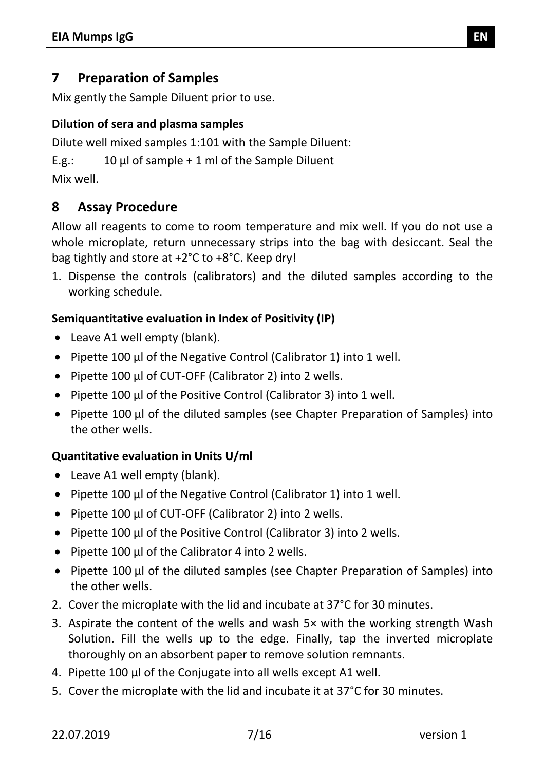#### <span id="page-6-0"></span>**7 Preparation of Samples**

Mix gently the Sample Diluent prior to use.

#### **Dilution of sera and plasma samples**

Dilute well mixed samples 1:101 with the Sample Diluent:

E.g.:  $10 \mu l$  of sample + 1 ml of the Sample Diluent

Mix well.

#### <span id="page-6-1"></span>**8 Assay Procedure**

Allow all reagents to come to room temperature and mix well. If you do not use a whole microplate, return unnecessary strips into the bag with desiccant. Seal the bag tightly and store at +2°C to +8°C. Keep dry!

1. Dispense the controls (calibrators) and the diluted samples according to the working schedule.

#### **Semiquantitative evaluation in Index of Positivity (IP)**

- Leave A1 well empty (blank).
- Pipette 100 µl of the Negative Control (Calibrator 1) into 1 well.
- Pipette 100 µl of CUT-OFF (Calibrator 2) into 2 wells.
- Pipette 100 µl of the Positive Control (Calibrator 3) into 1 well.
- Pipette 100 µl of the diluted samples (see Chapter Preparation of Samples) into the other wells.

#### **Quantitative evaluation in Units U/ml**

- Leave A1 well empty (blank).
- Pipette 100 µl of the Negative Control (Calibrator 1) into 1 well.
- Pipette 100 µl of CUT-OFF (Calibrator 2) into 2 wells.
- Pipette 100 µl of the Positive Control (Calibrator 3) into 2 wells.
- Pipette 100 μl of the Calibrator 4 into 2 wells.
- Pipette 100 µl of the diluted samples (see Chapter Preparation of Samples) into the other wells.
- 2. Cover the microplate with the lid and incubate at 37°C for 30 minutes.
- 3. Aspirate the content of the wells and wash 5× with the working strength Wash Solution. Fill the wells up to the edge. Finally, tap the inverted microplate thoroughly on an absorbent paper to remove solution remnants.
- 4. Pipette 100 µl of the Conjugate into all wells except A1 well.
- 5. Cover the microplate with the lid and incubate it at 37°C for 30 minutes.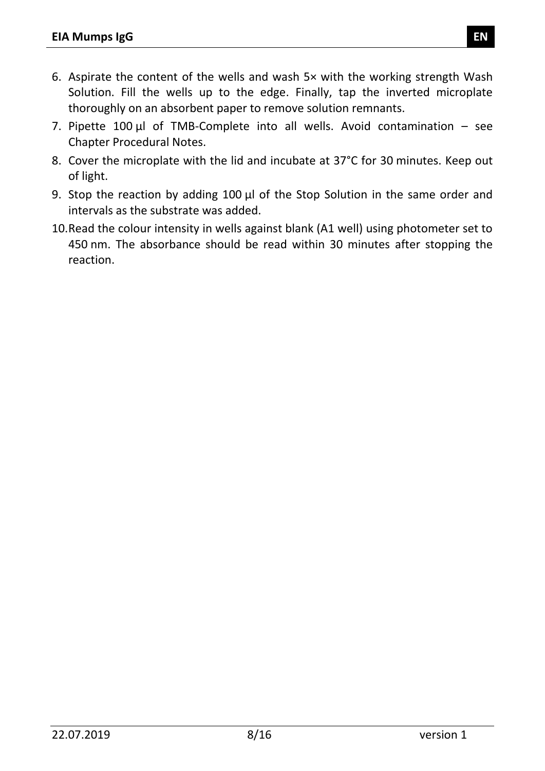- 6. Aspirate the content of the wells and wash 5× with the working strength Wash Solution. Fill the wells up to the edge. Finally, tap the inverted microplate thoroughly on an absorbent paper to remove solution remnants.
- 7. Pipette  $100 \mu l$  of TMB-Complete into all wells. Avoid contamination see Chapter Procedural Notes.
- 8. Cover the microplate with the lid and incubate at 37°C for 30 minutes. Keep out of light.
- 9. Stop the reaction by adding 100 µl of the Stop Solution in the same order and intervals as the substrate was added.
- 10.Read the colour intensity in wells against blank (A1 well) using photometer set to 450 nm. The absorbance should be read within 30 minutes after stopping the reaction.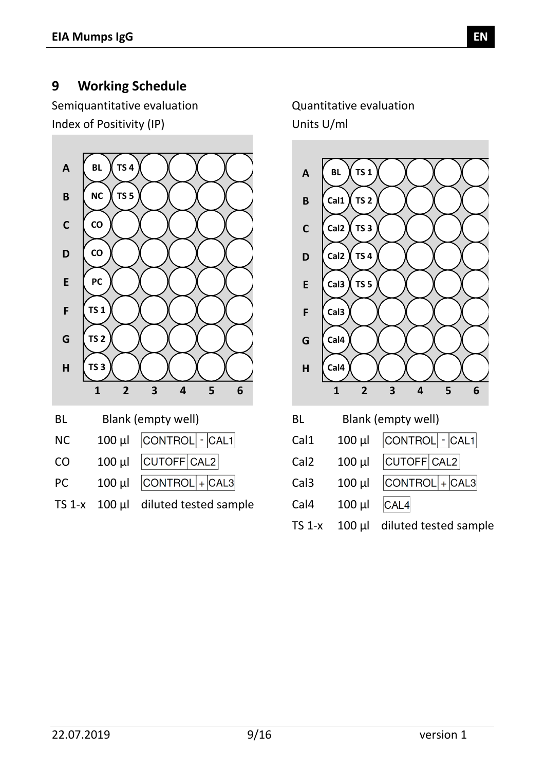#### <span id="page-8-0"></span>**9 Working Schedule**

Semiquantitative evaluation Quantitative evaluation Index of Positivity (IP) Units U/ml



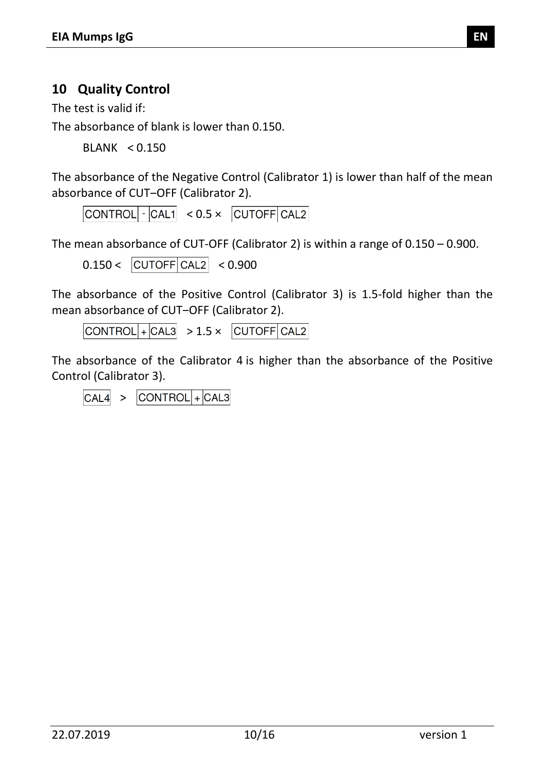#### <span id="page-9-0"></span>**10 Quality Control**

The test is valid if:

The absorbance of blank is lower than 0.150.

BLANK < 0.150

The absorbance of the Negative Control (Calibrator 1) is lower than half of the mean absorbance of CUT-OFF (Calibrator 2).

 $|CONTROL|$   $\cdot$   $|CAL1|$   $< 0.5 \times$   $|CUTOFF|CAL2|$ 

The mean absorbance of CUT-OFF (Calibrator 2) is within a range of 0.150 – 0.900.

 $0.150 < |CUTOFF|CAL2| < 0.900$ 

The absorbance of the Positive Control (Calibrator 3) is 1.5-fold higher than the mean absorbance of CUT-OFF (Calibrator 2).

 $\text{CONTROL}$  +  $\text{CAL3}$  > 1.5 ×  $\text{CUTOFF}$   $\text{CAL2}$ 

The absorbance of the Calibrator 4 is higher than the absorbance of the Positive Control (Calibrator 3).

 $\vert$ CONTROL $\vert$ + $\vert$ CAL3  $CAL4 >$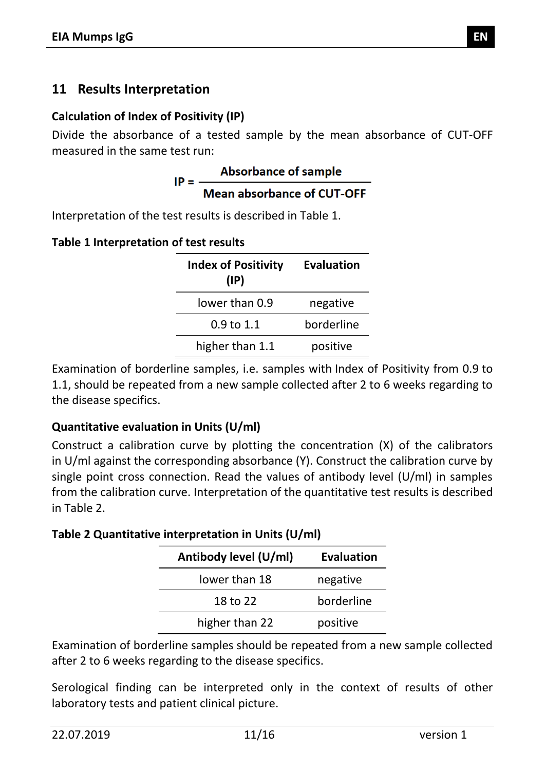#### <span id="page-10-0"></span>**11 Results Interpretation**

#### **Calculation of Index of Positivity (IP)**

Divide the absorbance of a tested sample by the mean absorbance of CUT-OFF

measured in the same test run:<br>**Absorbance of sample**<br>**ID** - -----Mean absorbance of CUT-OFF

Interpretation of the test results is described in [Table 1.](#page-10-1)

<span id="page-10-1"></span>

| Table 1 Interpretation of test results |  |  |
|----------------------------------------|--|--|
|----------------------------------------|--|--|

| <b>Index of Positivity</b><br>$(\mathsf{IP})$ | <b>Evaluation</b> |
|-----------------------------------------------|-------------------|
| lower than 0.9                                | negative          |
| 0.9 to 1.1                                    | borderline        |
| higher than 1.1                               | positive          |

Examination of borderline samples, i.e. samples with Index of Positivity from 0.9 to 1.1, should be repeated from a new sample collected after 2 to 6 weeks regarding to the disease specifics.

#### **Quantitative evaluation in Units (U/ml)**

Construct a calibration curve by plotting the concentration (X) of the calibrators in U/ml against the corresponding absorbance (Y). Construct the calibration curve by single point cross connection. Read the values of antibody level (U/ml) in samples from the calibration curve. Interpretation of the quantitative test results is described in [Table 2.](#page-10-2)

<span id="page-10-2"></span>**Table 2 Quantitative interpretation in Units (U/ml)**

| Antibody level (U/ml) | <b>Evaluation</b> |
|-----------------------|-------------------|
| lower than 18         | negative          |
| 18 to 22              | borderline        |
| higher than 22        | positive          |

Examination of borderline samples should be repeated from a new sample collected after 2 to 6 weeks regarding to the disease specifics.

Serological finding can be interpreted only in the context of results of other laboratory tests and patient clinical picture.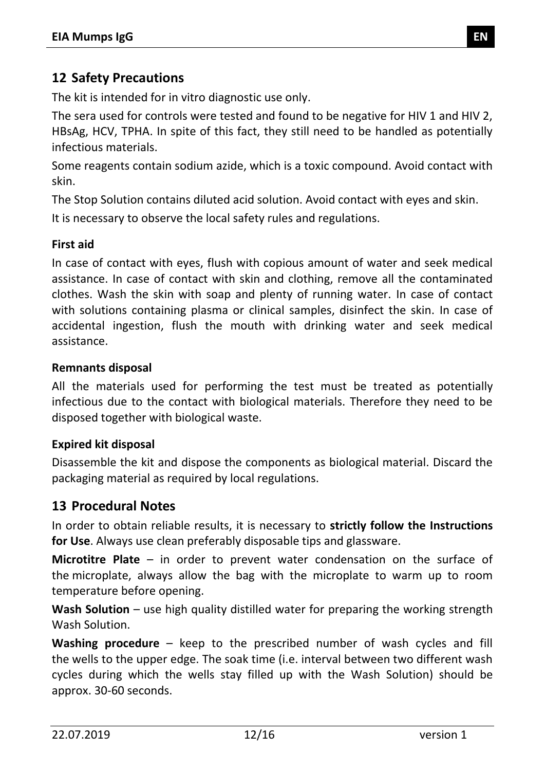#### <span id="page-11-0"></span>**12 Safety Precautions**

The kit is intended for in vitro diagnostic use only.

The sera used for controls were tested and found to be negative for HIV 1 and HIV 2, HBsAg, HCV, TPHA. In spite of this fact, they still need to be handled as potentially infectious materials.

Some reagents contain sodium azide, which is a toxic compound. Avoid contact with skin.

The Stop Solution contains diluted acid solution. Avoid contact with eyes and skin. It is necessary to observe the local safety rules and regulations.

#### **First aid**

In case of contact with eyes, flush with copious amount of water and seek medical assistance. In case of contact with skin and clothing, remove all the contaminated clothes. Wash the skin with soap and plenty of running water. In case of contact with solutions containing plasma or clinical samples, disinfect the skin. In case of accidental ingestion, flush the mouth with drinking water and seek medical assistance.

#### **Remnants disposal**

All the materials used for performing the test must be treated as potentially infectious due to the contact with biological materials. Therefore they need to be disposed together with biological waste.

#### **Expired kit disposal**

Disassemble the kit and dispose the components as biological material. Discard the packaging material as required by local regulations.

#### <span id="page-11-1"></span>**13 Procedural Notes**

In order to obtain reliable results, it is necessary to **strictly follow the Instructions for Use**. Always use clean preferably disposable tips and glassware.

**Microtitre Plate** – in order to prevent water condensation on the surface of the microplate, always allow the bag with the microplate to warm up to room temperature before opening.

**Wash Solution** – use high quality distilled water for preparing the working strength Wash Solution.

**Washing procedure** – keep to the prescribed number of wash cycles and fill the wells to the upper edge. The soak time (i.e. interval between two different wash cycles during which the wells stay filled up with the Wash Solution) should be approx. 30-60 seconds.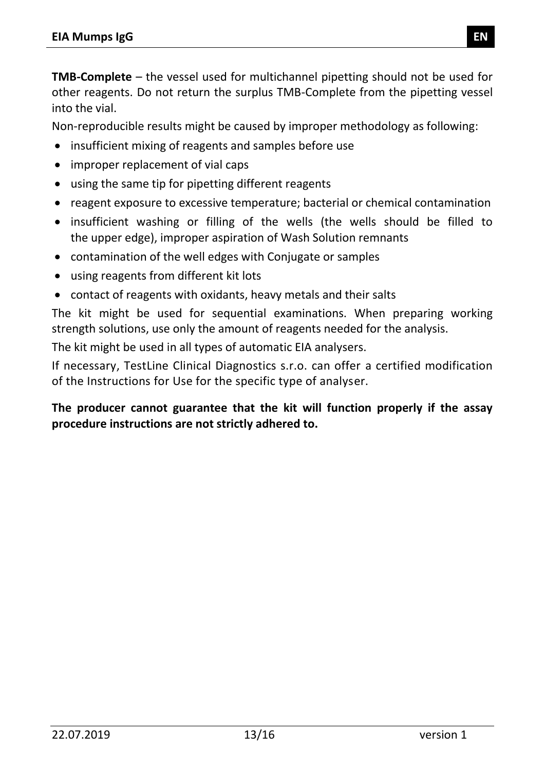**TMB-Complete** – the vessel used for multichannel pipetting should not be used for other reagents. Do not return the surplus TMB-Complete from the pipetting vessel into the vial.

Non-reproducible results might be caused by improper methodology as following:

- insufficient mixing of reagents and samples before use
- improper replacement of vial caps
- using the same tip for pipetting different reagents
- reagent exposure to excessive temperature; bacterial or chemical contamination
- insufficient washing or filling of the wells (the wells should be filled to the upper edge), improper aspiration of Wash Solution remnants
- contamination of the well edges with Conjugate or samples
- using reagents from different kit lots
- contact of reagents with oxidants, heavy metals and their salts

The kit might be used for sequential examinations. When preparing working strength solutions, use only the amount of reagents needed for the analysis.

The kit might be used in all types of automatic EIA analysers.

If necessary, TestLine Clinical Diagnostics s.r.o. can offer a certified modification of the Instructions for Use for the specific type of analyser.

#### **The producer cannot guarantee that the kit will function properly if the assay procedure instructions are not strictly adhered to.**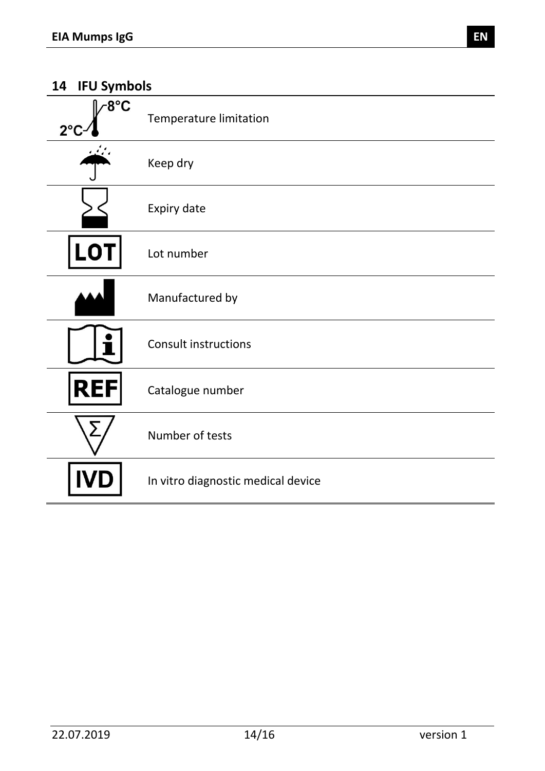#### <span id="page-13-0"></span>**14 IFU Symbols**

| $-8^{\circ}$ C<br>$2^{\circ}$ | <b>Temperature limitation</b>      |
|-------------------------------|------------------------------------|
|                               | Keep dry                           |
|                               | Expiry date                        |
| LO <sub>1</sub>               | Lot number                         |
|                               | Manufactured by                    |
|                               | <b>Consult instructions</b>        |
| <b>REF</b>                    | Catalogue number                   |
| ∑                             | Number of tests                    |
|                               | In vitro diagnostic medical device |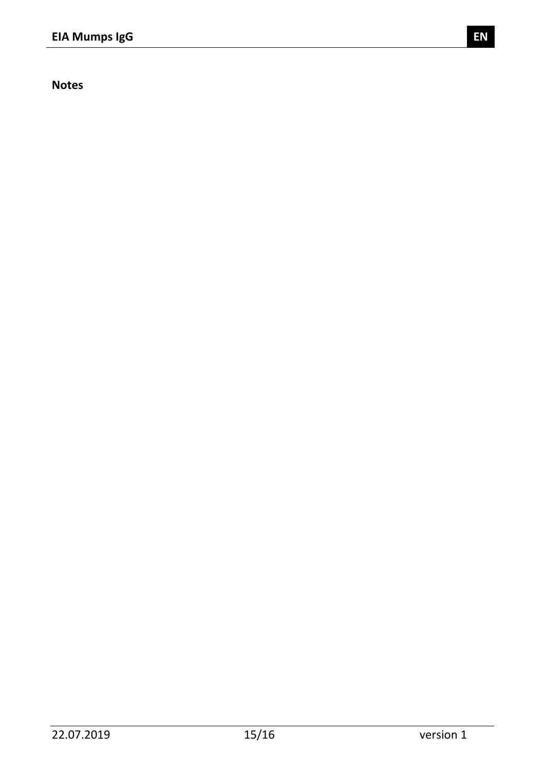**Notes**